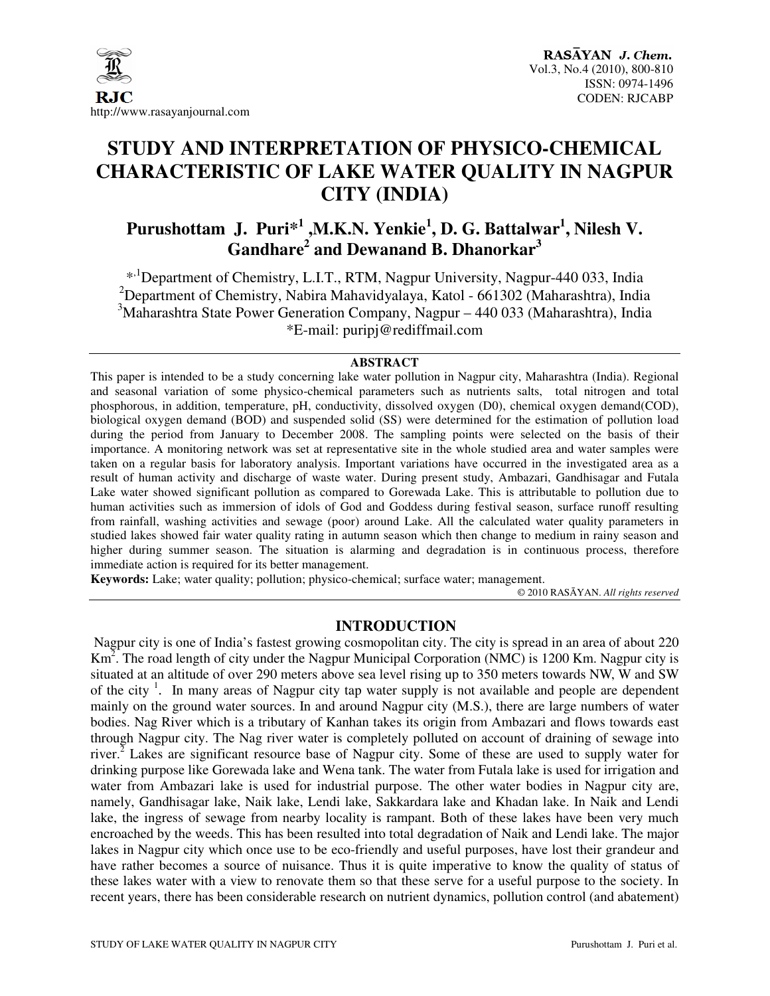

# **STUDY AND INTERPRETATION OF PHYSICO-CHEMICAL CHARACTERISTIC OF LAKE WATER QUALITY IN NAGPUR CITY (INDIA)**

## **Purushottam J. Puri\*<sup>1</sup>,M.K.N. Yenkie<sup>1</sup>, D. G. Battalwar<sup>1</sup>, Nilesh V. Gandhare<sup>2</sup> and Dewanand B. Dhanorkar<sup>3</sup>**

\*<sup>1</sup>Department of Chemistry, L.I.T., RTM, Nagpur University, Nagpur-440 033, India <sup>2</sup>Department of Chemistry, Nabira Mahavidyalaya, Katol - 661302 (Maharashtra), India <sup>3</sup>Maharashtra State Power Generation Company, Nagpur – 440 033 (Maharashtra), India \*E-mail: puripj@rediffmail.com

#### **ABSTRACT**

This paper is intended to be a study concerning lake water pollution in Nagpur city, Maharashtra (India). Regional and seasonal variation of some physico-chemical parameters such as nutrients salts, total nitrogen and total phosphorous, in addition, temperature, pH, conductivity, dissolved oxygen (D0), chemical oxygen demand(COD), biological oxygen demand (BOD) and suspended solid (SS) were determined for the estimation of pollution load during the period from January to December 2008. The sampling points were selected on the basis of their importance. A monitoring network was set at representative site in the whole studied area and water samples were taken on a regular basis for laboratory analysis. Important variations have occurred in the investigated area as a result of human activity and discharge of waste water. During present study, Ambazari, Gandhisagar and Futala Lake water showed significant pollution as compared to Gorewada Lake. This is attributable to pollution due to human activities such as immersion of idols of God and Goddess during festival season, surface runoff resulting from rainfall, washing activities and sewage (poor) around Lake. All the calculated water quality parameters in studied lakes showed fair water quality rating in autumn season which then change to medium in rainy season and higher during summer season. The situation is alarming and degradation is in continuous process, therefore immediate action is required for its better management.

**Keywords:** Lake; water quality; pollution; physico-chemical; surface water; management.

© 2010 RASĀYAN. *All rights reserved*

## **INTRODUCTION**

Nagpur city is one of India's fastest growing cosmopolitan city. The city is spread in an area of about 220  $\text{Km}^2$ . The road length of city under the Nagpur Municipal Corporation (NMC) is 1200 Km. Nagpur city is situated at an altitude of over 290 meters above sea level rising up to 350 meters towards NW, W and SW of the city<sup>1</sup>. In many areas of Nagpur city tap water supply is not available and people are dependent mainly on the ground water sources. In and around Nagpur city (M.S.), there are large numbers of water bodies. Nag River which is a tributary of Kanhan takes its origin from Ambazari and flows towards east through Nagpur city. The Nag river water is completely polluted on account of draining of sewage into river.<sup>2</sup> Lakes are significant resource base of Nagpur city. Some of these are used to supply water for drinking purpose like Gorewada lake and Wena tank. The water from Futala lake is used for irrigation and water from Ambazari lake is used for industrial purpose. The other water bodies in Nagpur city are, namely, Gandhisagar lake, Naik lake, Lendi lake, Sakkardara lake and Khadan lake. In Naik and Lendi lake, the ingress of sewage from nearby locality is rampant. Both of these lakes have been very much encroached by the weeds. This has been resulted into total degradation of Naik and Lendi lake. The major lakes in Nagpur city which once use to be eco-friendly and useful purposes, have lost their grandeur and have rather becomes a source of nuisance. Thus it is quite imperative to know the quality of status of these lakes water with a view to renovate them so that these serve for a useful purpose to the society. In recent years, there has been considerable research on nutrient dynamics, pollution control (and abatement)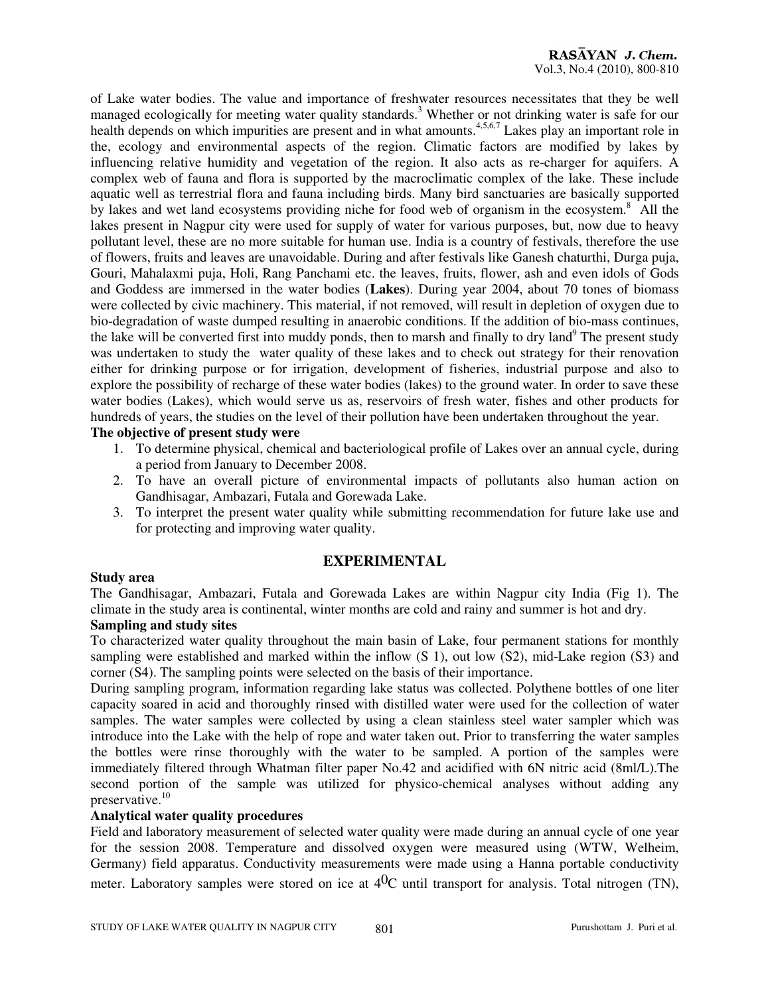of Lake water bodies. The value and importance of freshwater resources necessitates that they be well managed ecologically for meeting water quality standards.<sup>3</sup> Whether or not drinking water is safe for our health depends on which impurities are present and in what amounts.<sup>4,5,6,7</sup> Lakes play an important role in the, ecology and environmental aspects of the region. Climatic factors are modified by lakes by influencing relative humidity and vegetation of the region. It also acts as re-charger for aquifers. A complex web of fauna and flora is supported by the macroclimatic complex of the lake. These include aquatic well as terrestrial flora and fauna including birds. Many bird sanctuaries are basically supported by lakes and wet land ecosystems providing niche for food web of organism in the ecosystem.<sup>8</sup> All the lakes present in Nagpur city were used for supply of water for various purposes, but, now due to heavy pollutant level, these are no more suitable for human use. India is a country of festivals, therefore the use of flowers, fruits and leaves are unavoidable. During and after festivals like Ganesh chaturthi, Durga puja, Gouri, Mahalaxmi puja, Holi, Rang Panchami etc. the leaves, fruits, flower, ash and even idols of Gods and Goddess are immersed in the water bodies (**Lakes**). During year 2004, about 70 tones of biomass were collected by civic machinery. This material, if not removed, will result in depletion of oxygen due to bio-degradation of waste dumped resulting in anaerobic conditions. If the addition of bio-mass continues, the lake will be converted first into muddy ponds, then to marsh and finally to dry land<sup>9</sup> The present study was undertaken to study the water quality of these lakes and to check out strategy for their renovation either for drinking purpose or for irrigation, development of fisheries, industrial purpose and also to explore the possibility of recharge of these water bodies (lakes) to the ground water. In order to save these water bodies (Lakes), which would serve us as, reservoirs of fresh water, fishes and other products for hundreds of years, the studies on the level of their pollution have been undertaken throughout the year.

## **The objective of present study were**

- 1. To determine physical, chemical and bacteriological profile of Lakes over an annual cycle, during a period from January to December 2008.
- 2. To have an overall picture of environmental impacts of pollutants also human action on Gandhisagar, Ambazari, Futala and Gorewada Lake.
- 3. To interpret the present water quality while submitting recommendation for future lake use and for protecting and improving water quality.

## **EXPERIMENTAL**

## **Study area**

The Gandhisagar, Ambazari, Futala and Gorewada Lakes are within Nagpur city India (Fig 1). The climate in the study area is continental, winter months are cold and rainy and summer is hot and dry.

## **Sampling and study sites**

To characterized water quality throughout the main basin of Lake, four permanent stations for monthly sampling were established and marked within the inflow (S 1), out low (S2), mid-Lake region (S3) and corner (S4). The sampling points were selected on the basis of their importance.

During sampling program, information regarding lake status was collected. Polythene bottles of one liter capacity soared in acid and thoroughly rinsed with distilled water were used for the collection of water samples. The water samples were collected by using a clean stainless steel water sampler which was introduce into the Lake with the help of rope and water taken out. Prior to transferring the water samples the bottles were rinse thoroughly with the water to be sampled. A portion of the samples were immediately filtered through Whatman filter paper No.42 and acidified with 6N nitric acid (8ml/L).The second portion of the sample was utilized for physico-chemical analyses without adding any preservative.<sup>10</sup>

## **Analytical water quality procedures**

Field and laboratory measurement of selected water quality were made during an annual cycle of one year for the session 2008. Temperature and dissolved oxygen were measured using (WTW, Welheim, Germany) field apparatus. Conductivity measurements were made using a Hanna portable conductivity meter. Laboratory samples were stored on ice at  $4^{0}C$  until transport for analysis. Total nitrogen (TN),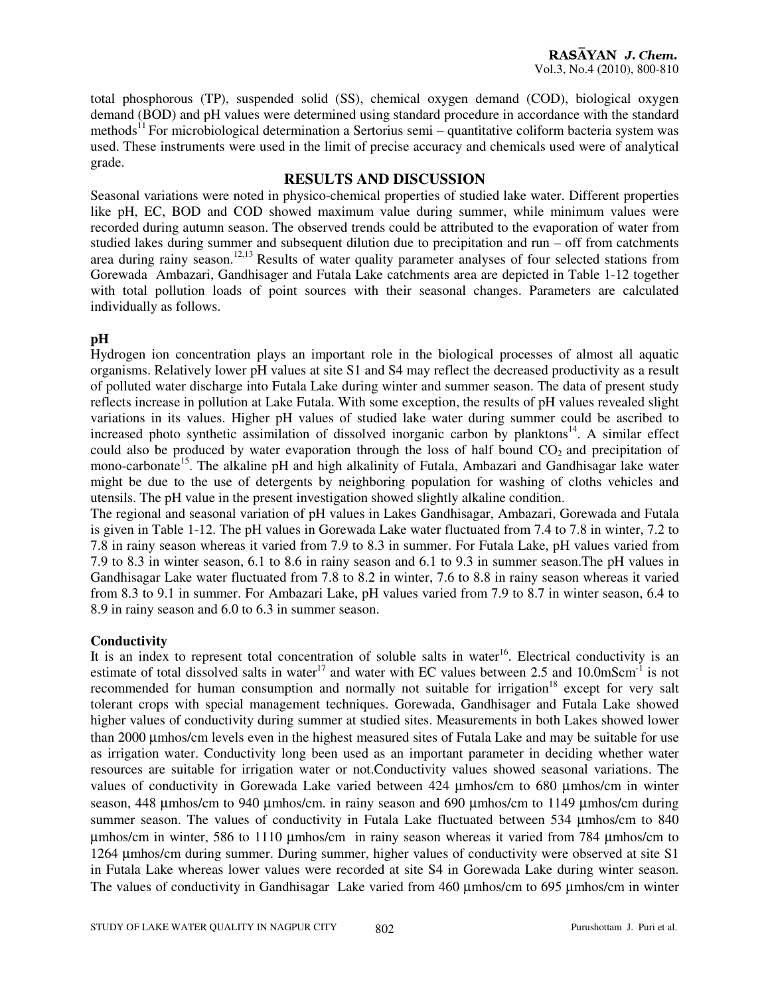total phosphorous (TP), suspended solid (SS), chemical oxygen demand (COD), biological oxygen demand (BOD) and pH values were determined using standard procedure in accordance with the standard methods<sup>11</sup> For microbiological determination a Sertorius semi – quantitative coliform bacteria system was used. These instruments were used in the limit of precise accuracy and chemicals used were of analytical grade.

## **RESULTS AND DISCUSSION**

Seasonal variations were noted in physico-chemical properties of studied lake water. Different properties like pH, EC, BOD and COD showed maximum value during summer, while minimum values were recorded during autumn season. The observed trends could be attributed to the evaporation of water from studied lakes during summer and subsequent dilution due to precipitation and run – off from catchments area during rainy season.<sup>12,13</sup> Results of water quality parameter analyses of four selected stations from Gorewada Ambazari, Gandhisager and Futala Lake catchments area are depicted in Table 1-12 together with total pollution loads of point sources with their seasonal changes. Parameters are calculated individually as follows.

## **pH**

Hydrogen ion concentration plays an important role in the biological processes of almost all aquatic organisms. Relatively lower pH values at site S1 and S4 may reflect the decreased productivity as a result of polluted water discharge into Futala Lake during winter and summer season. The data of present study reflects increase in pollution at Lake Futala. With some exception, the results of pH values revealed slight variations in its values. Higher pH values of studied lake water during summer could be ascribed to increased photo synthetic assimilation of dissolved inorganic carbon by planktons $14$ . A similar effect could also be produced by water evaporation through the loss of half bound  $CO<sub>2</sub>$  and precipitation of mono-carbonate<sup>15</sup>. The alkaline pH and high alkalinity of Futala, Ambazari and Gandhisagar lake water might be due to the use of detergents by neighboring population for washing of cloths vehicles and utensils. The pH value in the present investigation showed slightly alkaline condition.

The regional and seasonal variation of pH values in Lakes Gandhisagar, Ambazari, Gorewada and Futala is given in Table 1-12. The pH values in Gorewada Lake water fluctuated from 7.4 to 7.8 in winter, 7.2 to 7.8 in rainy season whereas it varied from 7.9 to 8.3 in summer. For Futala Lake, pH values varied from 7.9 to 8.3 in winter season, 6.1 to 8.6 in rainy season and 6.1 to 9.3 in summer season.The pH values in Gandhisagar Lake water fluctuated from 7.8 to 8.2 in winter, 7.6 to 8.8 in rainy season whereas it varied from 8.3 to 9.1 in summer. For Ambazari Lake, pH values varied from 7.9 to 8.7 in winter season, 6.4 to 8.9 in rainy season and 6.0 to 6.3 in summer season.

## **Conductivity**

It is an index to represent total concentration of soluble salts in water<sup>16</sup>. Electrical conductivity is an estimate of total dissolved salts in water<sup>17</sup> and water with EC values between 2.5 and 10.0mScm<sup>-1</sup> is not recommended for human consumption and normally not suitable for irrigation<sup>18</sup> except for very salt tolerant crops with special management techniques. Gorewada, Gandhisager and Futala Lake showed higher values of conductivity during summer at studied sites. Measurements in both Lakes showed lower than 2000 µmhos/cm levels even in the highest measured sites of Futala Lake and may be suitable for use as irrigation water. Conductivity long been used as an important parameter in deciding whether water resources are suitable for irrigation water or not.Conductivity values showed seasonal variations. The values of conductivity in Gorewada Lake varied between 424 µmhos/cm to 680 µmhos/cm in winter season, 448 µmhos/cm to 940 µmhos/cm. in rainy season and 690 µmhos/cm to 1149 µmhos/cm during summer season. The values of conductivity in Futala Lake fluctuated between 534  $\mu$ mhos/cm to 840 µmhos/cm in winter, 586 to 1110 µmhos/cm in rainy season whereas it varied from 784 µmhos/cm to 1264 µmhos/cm during summer. During summer, higher values of conductivity were observed at site S1 in Futala Lake whereas lower values were recorded at site S4 in Gorewada Lake during winter season. The values of conductivity in Gandhisagar Lake varied from 460 µmhos/cm to 695 µmhos/cm in winter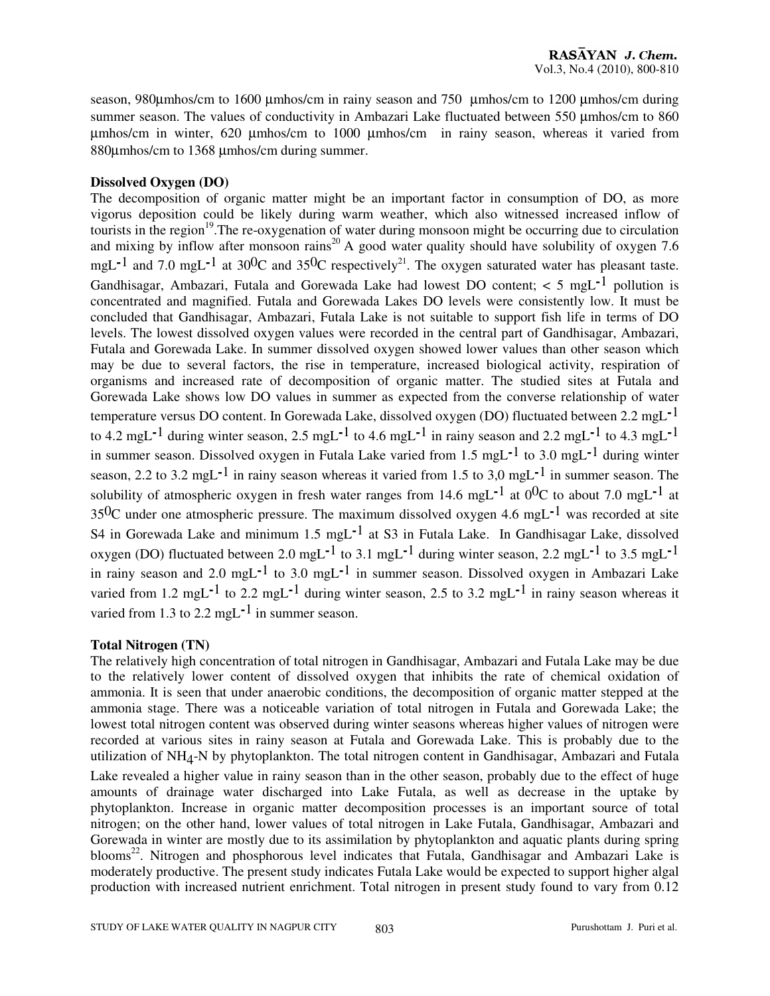season, 980µmhos/cm to 1600 µmhos/cm in rainy season and 750 µmhos/cm to 1200 µmhos/cm during summer season. The values of conductivity in Ambazari Lake fluctuated between 550 µmhos/cm to 860 µmhos/cm in winter, 620 µmhos/cm to 1000 µmhos/cm in rainy season, whereas it varied from 880µmhos/cm to 1368 µmhos/cm during summer.

#### **Dissolved Oxygen (DO)**

The decomposition of organic matter might be an important factor in consumption of DO, as more vigorus deposition could be likely during warm weather, which also witnessed increased inflow of tourists in the region<sup>19</sup>. The re-oxygenation of water during monsoon might be occurring due to circulation and mixing by inflow after monsoon rains<sup>20</sup> A good water quality should have solubility of oxygen 7.6 mgL<sup>-1</sup> and 7.0 mgL<sup>-1</sup> at 30<sup>0</sup>C and 35<sup>0</sup>C respectively<sup>21</sup>. The oxygen saturated water has pleasant taste. Gandhisagar, Ambazari, Futala and Gorewada Lake had lowest DO content; < 5 mgL**-**1 pollution is concentrated and magnified. Futala and Gorewada Lakes DO levels were consistently low. It must be concluded that Gandhisagar, Ambazari, Futala Lake is not suitable to support fish life in terms of DO levels. The lowest dissolved oxygen values were recorded in the central part of Gandhisagar, Ambazari, Futala and Gorewada Lake. In summer dissolved oxygen showed lower values than other season which may be due to several factors, the rise in temperature, increased biological activity, respiration of organisms and increased rate of decomposition of organic matter. The studied sites at Futala and Gorewada Lake shows low DO values in summer as expected from the converse relationship of water temperature versus DO content. In Gorewada Lake, dissolved oxygen (DO) fluctuated between 2.2 mgL**-**1 to 4.2 mgL**-**1 during winter season, 2.5 mgL**-**1 to 4.6 mgL**-**1 in rainy season and 2.2 mgL**-**1 to 4.3 mgL**-**1 in summer season. Dissolved oxygen in Futala Lake varied from 1.5 mgL**-**1 to 3.0 mgL**-**1 during winter season, 2.2 to 3.2 mgL**-**1 in rainy season whereas it varied from 1.5 to 3,0 mgL**-**1 in summer season. The solubility of atmospheric oxygen in fresh water ranges from 14.6 mgL**-**1 at 00C to about 7.0 mgL**-**1 at 350C under one atmospheric pressure. The maximum dissolved oxygen 4.6 mgL**-**1 was recorded at site S4 in Gorewada Lake and minimum 1.5 mgL**-**1 at S3 in Futala Lake. In Gandhisagar Lake, dissolved oxygen (DO) fluctuated between 2.0 mgL**-**1 to 3.1 mgL**-**1 during winter season, 2.2 mgL**-**1 to 3.5 mgL**-**1 in rainy season and 2.0 mgL**-**1 to 3.0 mgL**-**1 in summer season. Dissolved oxygen in Ambazari Lake varied from 1.2 mgL**-**1 to 2.2 mgL**-**1 during winter season, 2.5 to 3.2 mgL**-**1 in rainy season whereas it varied from 1.3 to 2.2 mgL**-**1 in summer season.

#### **Total Nitrogen (TN)**

The relatively high concentration of total nitrogen in Gandhisagar, Ambazari and Futala Lake may be due to the relatively lower content of dissolved oxygen that inhibits the rate of chemical oxidation of ammonia. It is seen that under anaerobic conditions, the decomposition of organic matter stepped at the ammonia stage. There was a noticeable variation of total nitrogen in Futala and Gorewada Lake; the lowest total nitrogen content was observed during winter seasons whereas higher values of nitrogen were recorded at various sites in rainy season at Futala and Gorewada Lake. This is probably due to the utilization of NH4 -N by phytoplankton. The total nitrogen content in Gandhisagar, Ambazari and Futala Lake revealed a higher value in rainy season than in the other season, probably due to the effect of huge amounts of drainage water discharged into Lake Futala, as well as decrease in the uptake by phytoplankton. Increase in organic matter decomposition processes is an important source of total nitrogen; on the other hand, lower values of total nitrogen in Lake Futala, Gandhisagar, Ambazari and Gorewada in winter are mostly due to its assimilation by phytoplankton and aquatic plants during spring blooms<sup>22</sup>. Nitrogen and phosphorous level indicates that Futala, Gandhisagar and Ambazari Lake is moderately productive. The present study indicates Futala Lake would be expected to support higher algal production with increased nutrient enrichment. Total nitrogen in present study found to vary from 0.12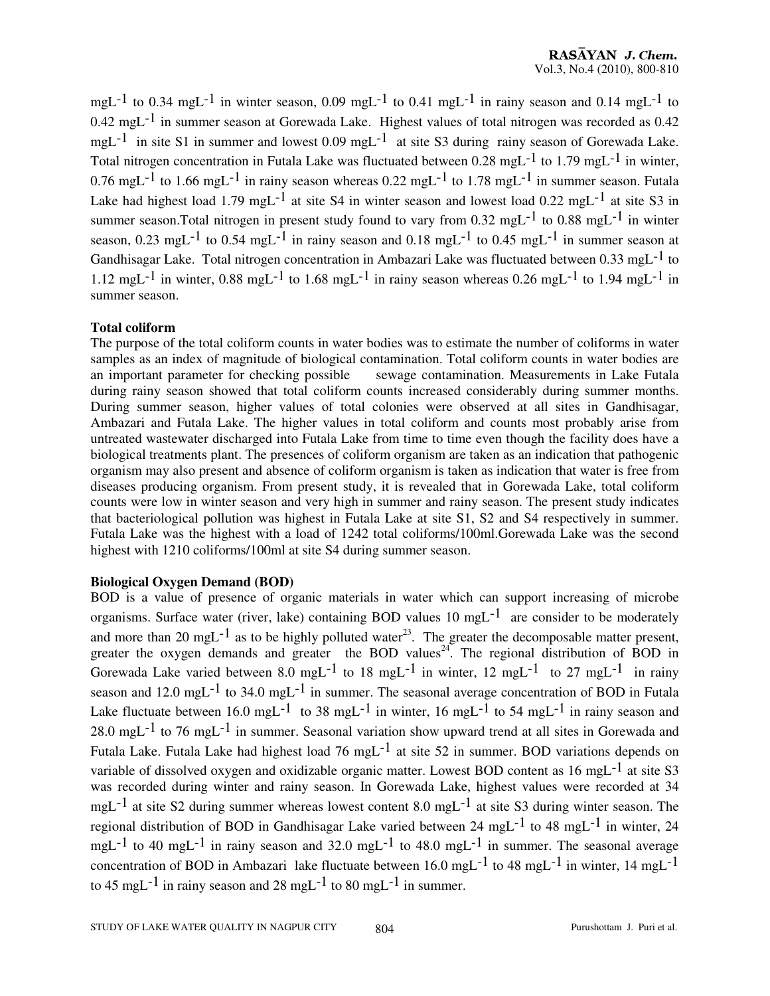mgL<sup>-1</sup> to 0.34 mgL<sup>-1</sup> in winter season, 0.09 mgL<sup>-1</sup> to 0.41 mgL<sup>-1</sup> in rainy season and 0.14 mgL<sup>-1</sup> to 0.42 mgL-1 in summer season at Gorewada Lake. Highest values of total nitrogen was recorded as 0.42 mgL<sup>-1</sup> in site S1 in summer and lowest 0.09 mgL<sup>-1</sup> at site S3 during rainy season of Gorewada Lake. Total nitrogen concentration in Futala Lake was fluctuated between 0.28 mgL-1 to 1.79 mgL-1 in winter, 0.76 mgL<sup>-1</sup> to 1.66 mgL<sup>-1</sup> in rainy season whereas 0.22 mgL<sup>-1</sup> to 1.78 mgL<sup>-1</sup> in summer season. Futala Lake had highest load 1.79 mgL<sup>-1</sup> at site S4 in winter season and lowest load 0.22 mgL<sup>-1</sup> at site S3 in summer season. Total nitrogen in present study found to vary from  $0.32 \text{ mg}L^{-1}$  to  $0.88 \text{ mg}L^{-1}$  in winter season, 0.23 mgL<sup>-1</sup> to 0.54 mgL<sup>-1</sup> in rainy season and 0.18 mgL<sup>-1</sup> to 0.45 mgL<sup>-1</sup> in summer season at Gandhisagar Lake. Total nitrogen concentration in Ambazari Lake was fluctuated between 0.33 mgL-1 to 1.12 mgL<sup>-1</sup> in winter, 0.88 mgL<sup>-1</sup> to 1.68 mgL<sup>-1</sup> in rainy season whereas 0.26 mgL<sup>-1</sup> to 1.94 mgL<sup>-1</sup> in summer season.

#### **Total coliform**

The purpose of the total coliform counts in water bodies was to estimate the number of coliforms in water samples as an index of magnitude of biological contamination. Total coliform counts in water bodies are an important parameter for checking possible sewage contamination. Measurements in Lake Futala during rainy season showed that total coliform counts increased considerably during summer months. During summer season, higher values of total colonies were observed at all sites in Gandhisagar, Ambazari and Futala Lake. The higher values in total coliform and counts most probably arise from untreated wastewater discharged into Futala Lake from time to time even though the facility does have a biological treatments plant. The presences of coliform organism are taken as an indication that pathogenic organism may also present and absence of coliform organism is taken as indication that water is free from diseases producing organism. From present study, it is revealed that in Gorewada Lake, total coliform counts were low in winter season and very high in summer and rainy season. The present study indicates that bacteriological pollution was highest in Futala Lake at site S1, S2 and S4 respectively in summer. Futala Lake was the highest with a load of 1242 total coliforms/100ml.Gorewada Lake was the second highest with 1210 coliforms/100ml at site S4 during summer season.

#### **Biological Oxygen Demand (BOD)**

BOD is a value of presence of organic materials in water which can support increasing of microbe organisms. Surface water (river, lake) containing BOD values  $10 \text{ mgL}^{-1}$  are consider to be moderately and more than 20 mgL<sup>-1</sup> as to be highly polluted water<sup>23</sup>. The greater the decomposable matter present, greater the oxygen demands and greater the BOD values<sup>24</sup>. The regional distribution of BOD in Gorewada Lake varied between 8.0 mgL<sup>-1</sup> to 18 mgL<sup>-1</sup> in winter, 12 mgL<sup>-1</sup> to 27 mgL<sup>-1</sup> in rainy season and 12.0 mgL<sup>-1</sup> to 34.0 mgL<sup>-1</sup> in summer. The seasonal average concentration of BOD in Futala Lake fluctuate between 16.0 mgL<sup>-1</sup> to 38 mgL<sup>-1</sup> in winter, 16 mgL<sup>-1</sup> to 54 mgL<sup>-1</sup> in rainy season and  $28.0 \text{ mgL}^{-1}$  to 76 mgL<sup>-1</sup> in summer. Seasonal variation show upward trend at all sites in Gorewada and Futala Lake. Futala Lake had highest load 76 mgL<sup>-1</sup> at site 52 in summer. BOD variations depends on variable of dissolved oxygen and oxidizable organic matter. Lowest BOD content as 16 mgL<sup>-1</sup> at site S3 was recorded during winter and rainy season. In Gorewada Lake, highest values were recorded at 34 mgL-1 at site S2 during summer whereas lowest content 8.0 mgL-1 at site S3 during winter season. The regional distribution of BOD in Gandhisagar Lake varied between 24 mgL-1 to 48 mgL-1 in winter, 24 mgL<sup>-1</sup> to 40 mgL<sup>-1</sup> in rainy season and 32.0 mgL<sup>-1</sup> to 48.0 mgL<sup>-1</sup> in summer. The seasonal average concentration of BOD in Ambazari lake fluctuate between  $16.0 \text{ mgL}^{-1}$  to 48 mgL<sup>-1</sup> in winter, 14 mgL<sup>-1</sup> to 45 mgL<sup>-1</sup> in rainy season and 28 mgL<sup>-1</sup> to 80 mgL<sup>-1</sup> in summer.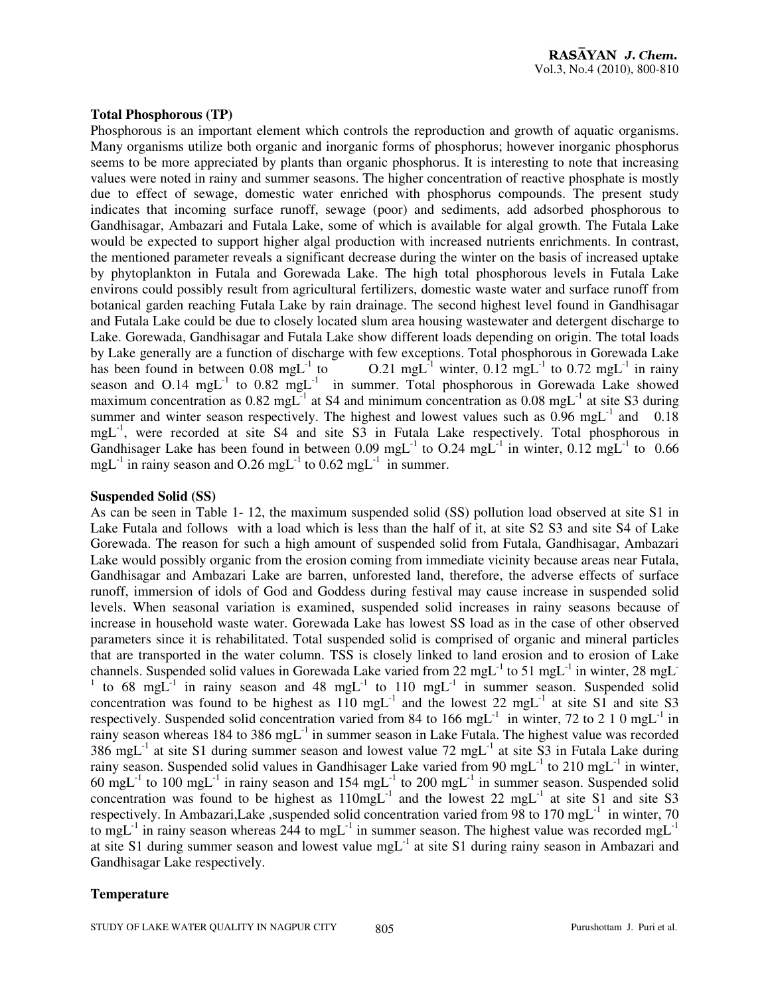#### **Total Phosphorous (TP)**

Phosphorous is an important element which controls the reproduction and growth of aquatic organisms. Many organisms utilize both organic and inorganic forms of phosphorus; however inorganic phosphorus seems to be more appreciated by plants than organic phosphorus. It is interesting to note that increasing values were noted in rainy and summer seasons. The higher concentration of reactive phosphate is mostly due to effect of sewage, domestic water enriched with phosphorus compounds. The present study indicates that incoming surface runoff, sewage (poor) and sediments, add adsorbed phosphorous to Gandhisagar, Ambazari and Futala Lake, some of which is available for algal growth. The Futala Lake would be expected to support higher algal production with increased nutrients enrichments. In contrast, the mentioned parameter reveals a significant decrease during the winter on the basis of increased uptake by phytoplankton in Futala and Gorewada Lake. The high total phosphorous levels in Futala Lake environs could possibly result from agricultural fertilizers, domestic waste water and surface runoff from botanical garden reaching Futala Lake by rain drainage. The second highest level found in Gandhisagar and Futala Lake could be due to closely located slum area housing wastewater and detergent discharge to Lake. Gorewada, Gandhisagar and Futala Lake show different loads depending on origin. The total loads by Lake generally are a function of discharge with few exceptions. Total phosphorous in Gorewada Lake<br>has been found in between  $0.08 \text{ mg}L^{-1}$  to  $0.21 \text{ mg}L^{-1}$  winter,  $0.12 \text{ mg}L^{-1}$  to  $0.72 \text{ mg}L^{-1}$  in rainv 0.21 mgL<sup>-1</sup> winter, 0.12 mgL<sup>-1</sup> to 0.72 mgL<sup>-1</sup> in rainy season and  $O.14 \, \text{mgL}^{-1}$  to  $0.82 \, \text{mgL}^{-1}$  in summer. Total phosphorous in Gorewada Lake showed maximum concentration as  $0.82 \text{ mgL}^{-1}$  at S4 and minimum concentration as  $0.08 \text{ mgL}^{-1}$  at site S3 during summer and winter season respectively. The highest and lowest values such as  $0.96 \text{ mgL}^{-1}$  and  $0.18$ mgL<sup>-1</sup>, were recorded at site S4 and site S3 in Futala Lake respectively. Total phosphorous in Gandhisager Lake has been found in between 0.09 mgL<sup>-1</sup> to O.24 mgL<sup>-1</sup> in winter, 0.12 mgL<sup>-1</sup> to 0.66 mgL $^{-1}$  in rainy season and O.26 mgL $^{-1}$  to 0.62 mgL $^{-1}$  in summer.

#### **Suspended Solid (SS)**

As can be seen in Table 1- 12, the maximum suspended solid (SS) pollution load observed at site S1 in Lake Futala and follows with a load which is less than the half of it, at site S2 S3 and site S4 of Lake Gorewada. The reason for such a high amount of suspended solid from Futala, Gandhisagar, Ambazari Lake would possibly organic from the erosion coming from immediate vicinity because areas near Futala, Gandhisagar and Ambazari Lake are barren, unforested land, therefore, the adverse effects of surface runoff, immersion of idols of God and Goddess during festival may cause increase in suspended solid levels. When seasonal variation is examined, suspended solid increases in rainy seasons because of increase in household waste water. Gorewada Lake has lowest SS load as in the case of other observed parameters since it is rehabilitated. Total suspended solid is comprised of organic and mineral particles that are transported in the water column. TSS is closely linked to land erosion and to erosion of Lake channels. Suspended solid values in Gorewada Lake varied from 22 mgL<sup>-1</sup> to 51 mgL<sup>-1</sup> in winter, 28 mgL<sup>-1</sup> <sup>1</sup> to 68 mgL<sup>-1</sup> in rainy season and 48 mgL<sup>-1</sup> to 110 mgL<sup>-1</sup> in summer season. Suspended solid concentration was found to be highest as  $110 \text{ mgL}^{-1}$  and the lowest 22 mgL<sup>-1</sup> at site S1 and site S3 respectively. Suspended solid concentration varied from 84 to 166 mgL<sup>-1</sup> in winter, 72 to 2 1 0 mgL<sup>-1</sup> in rainy season whereas 184 to 386 mgL<sup>-1</sup> in summer season in Lake Futala. The highest value was recorded  $386 \text{ mgL}^{-1}$  at site S1 during summer season and lowest value 72 mgL<sup>-1</sup> at site S3 in Futala Lake during rainy season. Suspended solid values in Gandhisager Lake varied from 90 mgL<sup>-1</sup> to 210 mgL<sup>-1</sup> in winter, 60 mgL<sup>-1</sup> to 100 mgL<sup>-1</sup> in rainy season and 154 mgL<sup>-1</sup> to 200 mgL<sup>-1</sup> in summer season. Suspended solid concentration was found to be highest as  $110$ mg $L^{-1}$  and the lowest 22 mg $L^{-1}$  at site S1 and site S3 respectively. In Ambazari,Lake, suspended solid concentration varied from 98 to 170 mg $L^{-1}$  in winter, 70 to mgL<sup>-1</sup> in rainy season whereas  $244$  to mgL<sup>-1</sup> in summer season. The highest value was recorded mgL<sup>-1</sup> at site S1 during summer season and lowest value  $mgL^{-1}$  at site S1 during rainy season in Ambazari and Gandhisagar Lake respectively.

## **Temperature**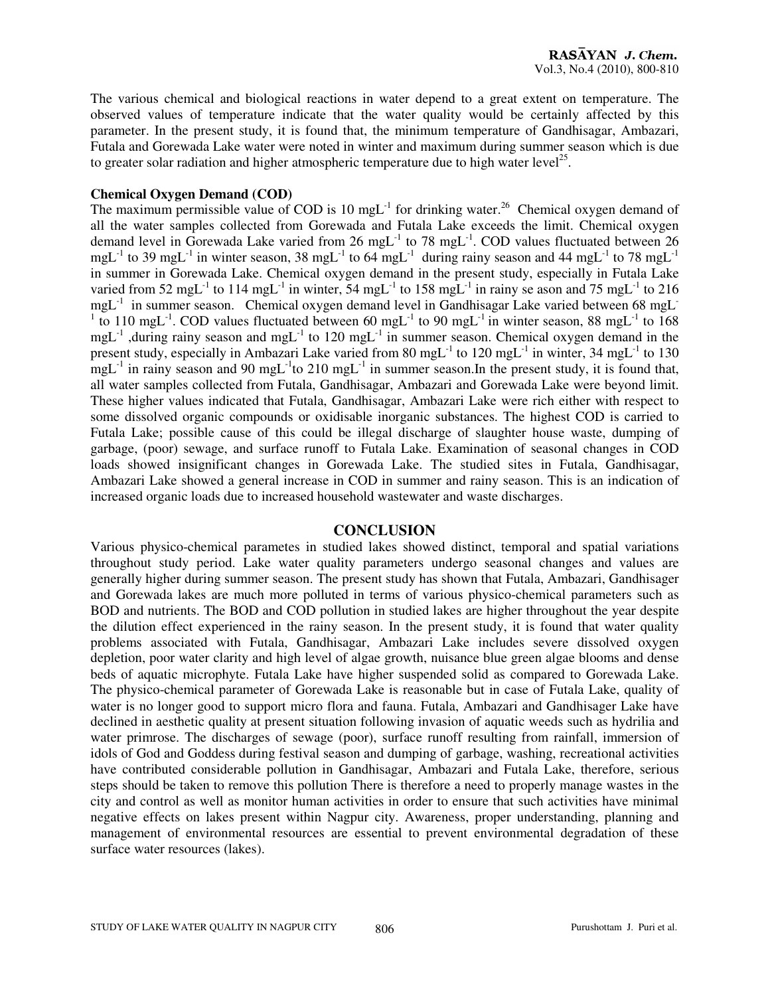The various chemical and biological reactions in water depend to a great extent on temperature. The observed values of temperature indicate that the water quality would be certainly affected by this parameter. In the present study, it is found that, the minimum temperature of Gandhisagar, Ambazari, Futala and Gorewada Lake water were noted in winter and maximum during summer season which is due to greater solar radiation and higher atmospheric temperature due to high water level<sup>25</sup>.

#### **Chemical Oxygen Demand (COD)**

The maximum permissible value of COD is 10 mgL<sup>-1</sup> for drinking water.<sup>26</sup> Chemical oxygen demand of all the water samples collected from Gorewada and Futala Lake exceeds the limit. Chemical oxygen demand level in Gorewada Lake varied from 26 mgL<sup>-1</sup> to 78 mgL<sup>-1</sup>. COD values fluctuated between 26 mgL<sup>-1</sup> to 39 mgL<sup>-1</sup> in winter season, 38 mgL<sup>-1</sup> to 64 mgL<sup>-1</sup> during rainy season and 44 mgL<sup>-1</sup> to 78 mgL<sup>-1</sup> in summer in Gorewada Lake. Chemical oxygen demand in the present study, especially in Futala Lake varied from 52 mgL<sup>-1</sup> to 114 mgL<sup>-1</sup> in winter, 54 mgL<sup>-1</sup> to 158 mgL<sup>-1</sup> in rainy se ason and 75 mgL<sup>-1</sup> to 216 mgL<sup>-1</sup> in summer season. Chemical oxygen demand level in Gandhisagar Lake varied between 68 mgL<sup>-1</sup> <sup>1</sup> to 110 mgL<sup>-1</sup>. COD values fluctuated between 60 mgL<sup>-1</sup> to 90 mgL<sup>-1</sup> in winter season, 88 mgL<sup>-1</sup> to 168  $mgL^{-1}$ , during rainy season and mgL<sup>-1</sup> to 120 mgL<sup>-1</sup> in summer season. Chemical oxygen demand in the present study, especially in Ambazari Lake varied from 80 mgL<sup>-1</sup> to 120 mgL<sup>-1</sup> in winter, 34 mgL<sup>-1</sup> to 130  $mgL^{-1}$  in rainy season and 90 mgL<sup>-1</sup>to 210 mgL<sup>-1</sup> in summer season.In the present study, it is found that, all water samples collected from Futala, Gandhisagar, Ambazari and Gorewada Lake were beyond limit. These higher values indicated that Futala, Gandhisagar, Ambazari Lake were rich either with respect to some dissolved organic compounds or oxidisable inorganic substances. The highest COD is carried to Futala Lake; possible cause of this could be illegal discharge of slaughter house waste, dumping of garbage, (poor) sewage, and surface runoff to Futala Lake. Examination of seasonal changes in COD loads showed insignificant changes in Gorewada Lake. The studied sites in Futala, Gandhisagar, Ambazari Lake showed a general increase in COD in summer and rainy season. This is an indication of increased organic loads due to increased household wastewater and waste discharges.

#### **CONCLUSION**

Various physico-chemical parametes in studied lakes showed distinct, temporal and spatial variations throughout study period. Lake water quality parameters undergo seasonal changes and values are generally higher during summer season. The present study has shown that Futala, Ambazari, Gandhisager and Gorewada lakes are much more polluted in terms of various physico-chemical parameters such as BOD and nutrients. The BOD and COD pollution in studied lakes are higher throughout the year despite the dilution effect experienced in the rainy season. In the present study, it is found that water quality problems associated with Futala, Gandhisagar, Ambazari Lake includes severe dissolved oxygen depletion, poor water clarity and high level of algae growth, nuisance blue green algae blooms and dense beds of aquatic microphyte. Futala Lake have higher suspended solid as compared to Gorewada Lake. The physico-chemical parameter of Gorewada Lake is reasonable but in case of Futala Lake, quality of water is no longer good to support micro flora and fauna. Futala, Ambazari and Gandhisager Lake have declined in aesthetic quality at present situation following invasion of aquatic weeds such as hydrilia and water primrose. The discharges of sewage (poor), surface runoff resulting from rainfall, immersion of idols of God and Goddess during festival season and dumping of garbage, washing, recreational activities have contributed considerable pollution in Gandhisagar, Ambazari and Futala Lake, therefore, serious steps should be taken to remove this pollution There is therefore a need to properly manage wastes in the city and control as well as monitor human activities in order to ensure that such activities have minimal negative effects on lakes present within Nagpur city. Awareness, proper understanding, planning and management of environmental resources are essential to prevent environmental degradation of these surface water resources (lakes).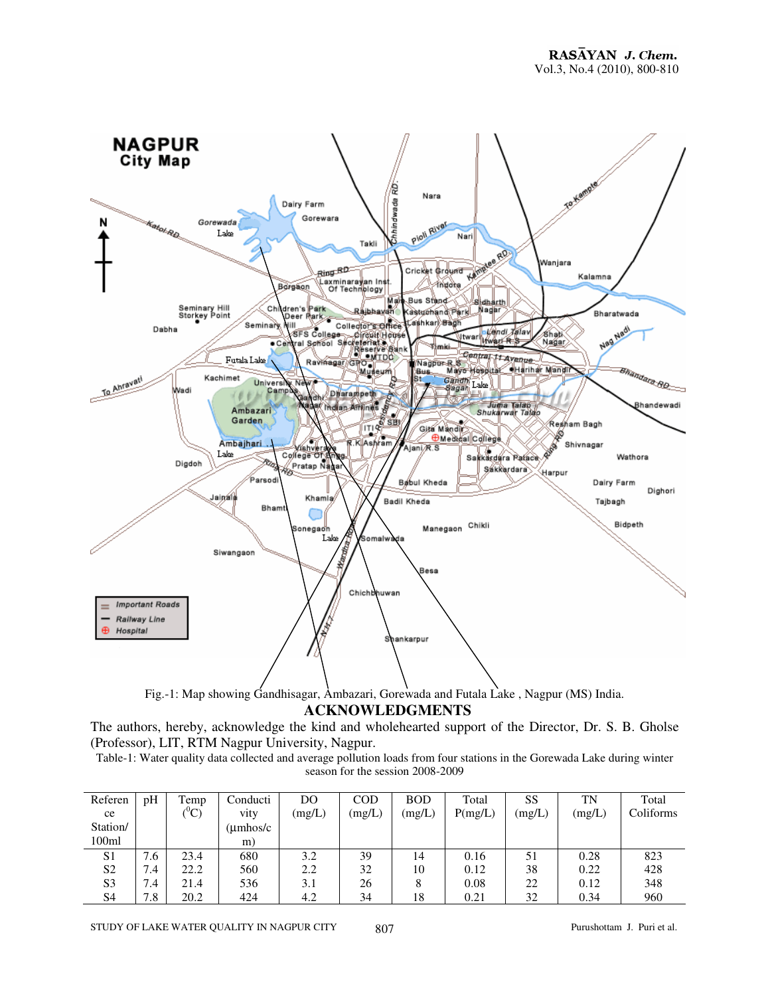

Fig.-1: Map showing Gandhisagar, Ambazari, Gorewada and Futala Lake , Nagpur (MS) India.

**ACKNOWLEDGMENTS**

The authors, hereby, acknowledge the kind and wholehearted support of the Director, Dr. S. B. Gholse (Professor), LIT, RTM Nagpur University, Nagpur.

Table-1: Water quality data collected and average pollution loads from four stations in the Gorewada Lake during winter season for the session 2008-2009

| Referen        | pH  | Temp             | Conducti           | DO     | COD    | <b>BOD</b> | Total   | SS     | TN     | Total     |
|----------------|-----|------------------|--------------------|--------|--------|------------|---------|--------|--------|-----------|
| ce             |     | $(^0\mathrm{C})$ | vity               | (mg/L) | (mg/L) | (mg/L)     | P(mg/L) | (mg/L) | (mg/L) | Coliforms |
| Station/       |     |                  | $(\text{umbos/c})$ |        |        |            |         |        |        |           |
| 100ml          |     |                  | m)                 |        |        |            |         |        |        |           |
| S <sub>1</sub> | 4.6 | 23.4             | 680                | 3.2    | 39     | 14         | 0.16    | 51     | 0.28   | 823       |
| S <sub>2</sub> | 7.4 | 22.2             | 560                | 2.2    | 32     | 10         | 0.12    | 38     | 0.22   | 428       |
| S <sub>3</sub> | 7.4 | 21.4             | 536                | 3.1    | 26     | 8          | 0.08    | 22     | 0.12   | 348       |
| S4             | '.8 | 20.2             | 424                | 4.2    | 34     | 18         | 0.21    | 32     | 0.34   | 960       |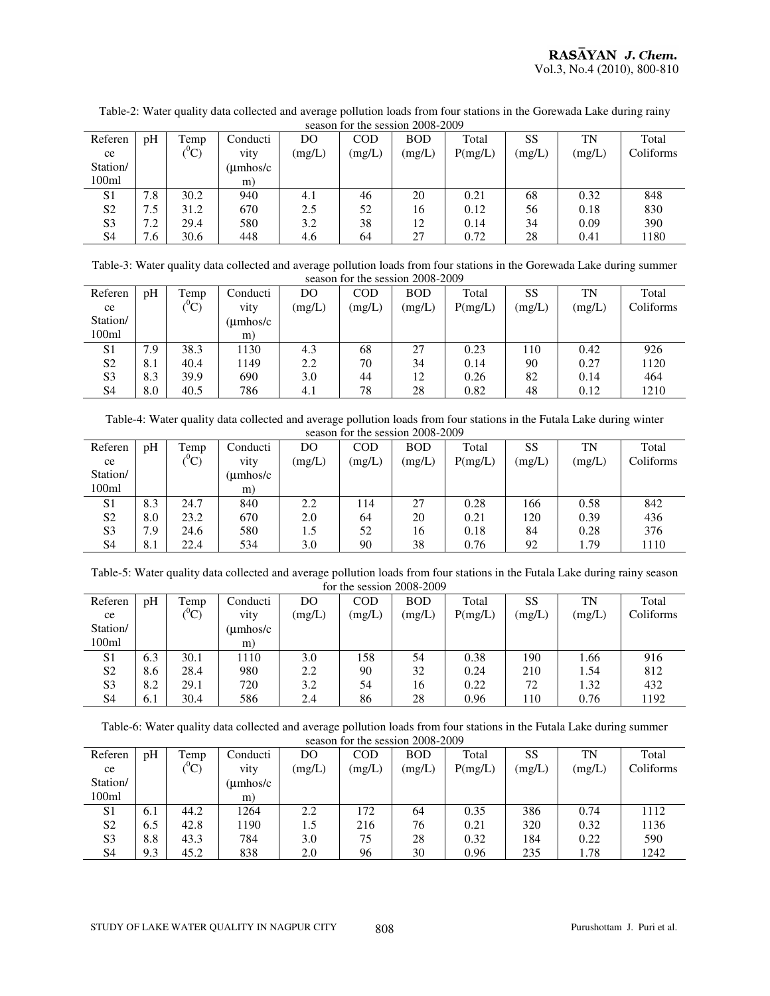| $\epsilon$ season for the session $\epsilon$ over $\epsilon$ over |     |                  |           |        |        |            |         |        |        |           |
|-------------------------------------------------------------------|-----|------------------|-----------|--------|--------|------------|---------|--------|--------|-----------|
| Referen                                                           | pH  | Temp             | Conducti  | DO     | COD    | <b>BOD</b> | Total   | SS     | TN     | Total     |
| ce                                                                |     | $(^0\mathrm{C})$ | vity      | (mg/L) | (mg/L) | (mg/L)     | P(mg/L) | (mg/L) | (mg/L) | Coliforms |
| Station/                                                          |     |                  | (umhos/c) |        |        |            |         |        |        |           |
| 100ml                                                             |     |                  | m)        |        |        |            |         |        |        |           |
| S <sub>1</sub>                                                    | 7.8 | 30.2             | 940       | 4.1    | 46     | 20         | 0.21    | 68     | 0.32   | 848       |
| S <sub>2</sub>                                                    | 7.5 | 31.2             | 670       | 2.5    | 52     | 16         | 0.12    | 56     | 0.18   | 830       |
| S <sub>3</sub>                                                    | 7.2 | 29.4             | 580       | 3.2    | 38     | 12         | 0.14    | 34     | 0.09   | 390       |
| S <sub>4</sub>                                                    | 1.6 | 30.6             | 448       | 4.6    | 64     | 27         | 0.72    | 28     | 0.41   | 1180      |

Table-2: Water quality data collected and average pollution loads from four stations in the Gorewada Lake during rainy season for the session 2008-2009

Table-3: Water quality data collected and average pollution loads from four stations in the Gorewada Lake during summer season for the session 2008-2009

| Referen        | pH  | Temp          | Conducti           | DO     | COD    | <b>BOD</b> | Total   | SS     | TN     | Total     |
|----------------|-----|---------------|--------------------|--------|--------|------------|---------|--------|--------|-----------|
| ce             |     | $\sim 0$<br>◡ | vity               | (mg/L) | (mg/L) | (mg/L)     | P(mg/L) | (mg/L) | (mg/L) | Coliforms |
| Station/       |     |               | $(\text{umbos/c})$ |        |        |            |         |        |        |           |
| 100ml          |     |               | m)                 |        |        |            |         |        |        |           |
| S <sub>1</sub> | 7.9 | 38.3          | 1130               | 4.3    | 68     | 27         | 0.23    | 110    | 0.42   | 926       |
| S <sub>2</sub> | 8.1 | 40.4          | 1149               | 2.2    | 70     | 34         | 0.14    | 90     | 0.27   | 1120      |
| S <sub>3</sub> | 8.3 | 39.9          | 690                | 3.0    | 44     | 12         | 0.26    | 82     | 0.14   | 464       |
| S <sub>4</sub> | 8.0 | 40.5          | 786                | 4.1    | 78     | 28         | 0.82    | 48     | 0.12   | 1210      |

Table-4: Water quality data collected and average pollution loads from four stations in the Futala Lake during winter season for the session 2008-2009

| Referen           | pH  | Temp     | Conducti              | DO.    | <b>COD</b> | <b>BOD</b> | Total   | SS     | TN     | Total     |  |
|-------------------|-----|----------|-----------------------|--------|------------|------------|---------|--------|--------|-----------|--|
| ce                |     | $^{0}C)$ | vity                  | (mg/L) | (mg/L)     | (mg/L)     | P(mg/L) | (mg/L) | (mg/L) | Coliforms |  |
| Station/          |     |          | $(\mu \text{mhos/c})$ |        |            |            |         |        |        |           |  |
| 100 <sub>ml</sub> |     |          | m)                    |        |            |            |         |        |        |           |  |
| S <sub>1</sub>    | 8.3 | 24.7     | 840                   | 2.2    | 114        | 27         | 0.28    | 166    | 0.58   | 842       |  |
| S <sub>2</sub>    | 8.0 | 23.2     | 670                   | 2.0    | 64         | 20         | 0.21    | 120    | 0.39   | 436       |  |
| S <sub>3</sub>    | 7.9 | 24.6     | 580                   | 1.5    | 52         | 16         | 0.18    | 84     | 0.28   | 376       |  |
| S <sub>4</sub>    | 8.1 | 22.4     | 534                   | 3.0    | 90         | 38         | 0.76    | 92     | 1.79   | 1110      |  |

Table-5: Water quality data collected and average pollution loads from four stations in the Futala Lake during rainy season for the session 2008-2009

| Referen        | pH  | Temp             | Conducti           | DO     | COD    | <b>BOD</b> | Total   | SS     | TN     | Total     |  |
|----------------|-----|------------------|--------------------|--------|--------|------------|---------|--------|--------|-----------|--|
| ce             |     | $(^0\mathrm{C})$ | vity               | (mg/L) | (mg/L) | (mg/L)     | P(mg/L) | (mg/L) | (mg/L) | Coliforms |  |
| Station/       |     |                  | $(\text{umbos/c})$ |        |        |            |         |        |        |           |  |
| 100ml          |     |                  | m)                 |        |        |            |         |        |        |           |  |
| S <sub>1</sub> | 6.3 | 30.1             | 1110               | 3.0    | 158    | 54         | 0.38    | 190    | 1.66   | 916       |  |
| S <sub>2</sub> | 8.6 | 28.4             | 980                | 2.2    | 90     | 32         | 0.24    | 210    | 1.54   | 812       |  |
| S <sub>3</sub> | 8.2 | 29.1             | 720                | 3.2    | 54     | 16         | 0.22    | 72     | 1.32   | 432       |  |
| S <sub>4</sub> | 6.1 | 30.4             | 586                | 2.4    | 86     | 28         | 0.96    | 110    | 0.76   | 1192      |  |

Table-6: Water quality data collected and average pollution loads from four stations in the Futala Lake during summer season for the session 2008-2009

| Referen           | pH  | Temp           | Conducti              | DO     | COD    | <b>BOD</b> | Total   | SS     | TN     | Total     |
|-------------------|-----|----------------|-----------------------|--------|--------|------------|---------|--------|--------|-----------|
| ce                |     | $\sim 0$<br>J. | vity                  | (mg/L) | (mg/L) | (mg/L)     | P(mg/L) | (mg/L) | (mg/L) | Coliforms |
| Station/          |     |                | $(\mu \text{mhos/c})$ |        |        |            |         |        |        |           |
| 100 <sub>ml</sub> |     |                | m)                    |        |        |            |         |        |        |           |
| S <sub>1</sub>    | 6.1 | 44.2           | 1264                  | 2.2    | 172    | 64         | 0.35    | 386    | 0.74   | 1112      |
| S <sub>2</sub>    | 6.5 | 42.8           | 1190                  | 1.5    | 216    | 76         | 0.21    | 320    | 0.32   | 1136      |
| S <sub>3</sub>    | 8.8 | 43.3           | 784                   | 3.0    | 75     | 28         | 0.32    | 184    | 0.22   | 590       |
| S <sub>4</sub>    | 9.3 | 45.2           | 838                   | 2.0    | 96     | 30         | 0.96    | 235    | 1.78   | 1242      |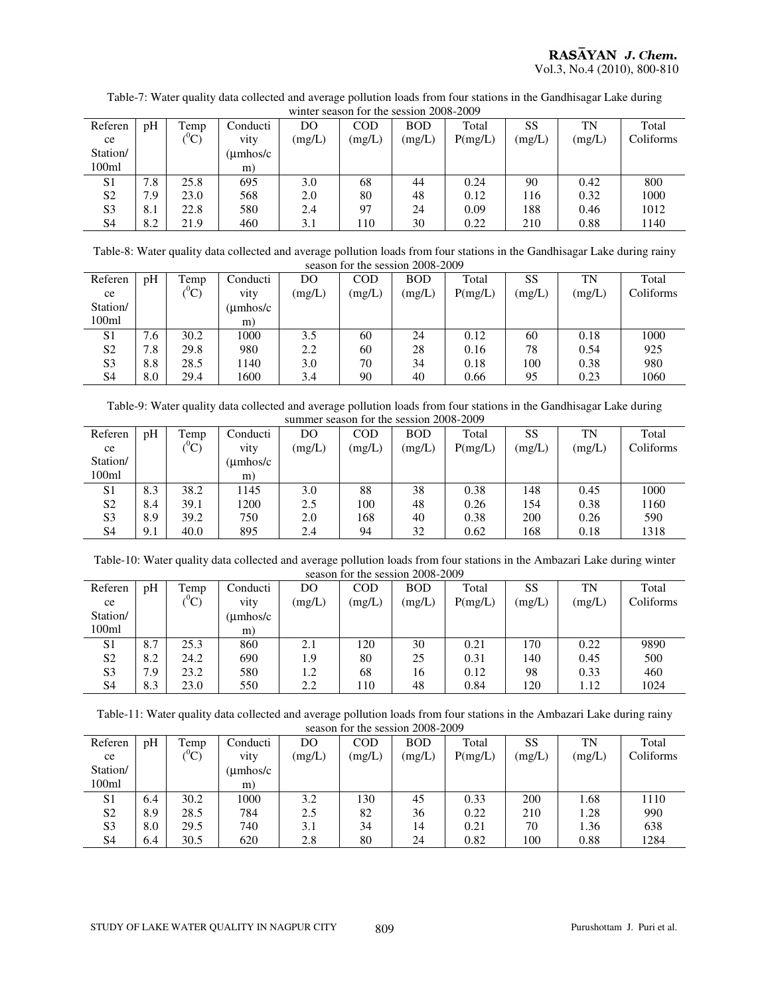| Table-7: Water quality data collected and average pollution loads from four stations in the Gandhisagar Lake during |  |
|---------------------------------------------------------------------------------------------------------------------|--|
| winter season for the session 2008-2009                                                                             |  |

| whitel season for the session 2008-2009 |     |           |                       |        |            |            |         |        |        |           |  |
|-----------------------------------------|-----|-----------|-----------------------|--------|------------|------------|---------|--------|--------|-----------|--|
| Referen                                 | pH  | Temp      | Conducti              | DO     | <b>COD</b> | <b>BOD</b> | Total   | SS     | TN     | Total     |  |
| ce                                      |     | ${}^{0}C$ | vity                  | (mg/L) | (mg/L)     | (mg/L)     | P(mg/L) | (mg/L) | (mg/L) | Coliforms |  |
| Station/                                |     |           | $(\mu \text{mhos/c})$ |        |            |            |         |        |        |           |  |
| 100ml                                   |     |           | m)                    |        |            |            |         |        |        |           |  |
| S <sub>1</sub>                          | 7.8 | 25.8      | 695                   | 3.0    | 68         | 44         | 0.24    | 90     | 0.42   | 800       |  |
| S <sub>2</sub>                          | 7.9 | 23.0      | 568                   | 2.0    | 80         | 48         | 0.12    | 116    | 0.32   | 1000      |  |
| S <sub>3</sub>                          | 8.1 | 22.8      | 580                   | 2.4    | 97         | 24         | 0.09    | 188    | 0.46   | 1012      |  |
| S4                                      | 8.2 | 21.9      | 460                   | 3.1    | 110        | 30         | 0.22    | 210    | 0.88   | 1140      |  |

Table-8: Water quality data collected and average pollution loads from four stations in the Gandhisagar Lake during rainy season for the session 2008-2009

|                | 30000011101100300001120002007 |                |                       |        |        |            |         |        |        |           |  |
|----------------|-------------------------------|----------------|-----------------------|--------|--------|------------|---------|--------|--------|-----------|--|
| Referen        | pH                            | Temp           | Conducti              | DO     | COD    | <b>BOD</b> | Total   | SS     | TN     | Total     |  |
| ce             |                               | $\sim 0$<br>U, | vity                  | (mg/L) | (mg/L) | (mg/L)     | P(mg/L) | (mg/L) | (mg/L) | Coliforms |  |
| Station/       |                               |                | $(\mu \text{mhos/c})$ |        |        |            |         |        |        |           |  |
| 100ml          |                               |                | m)                    |        |        |            |         |        |        |           |  |
| S <sub>1</sub> | 7.6                           | 30.2           | 1000                  | 3.5    | 60     | 24         | 0.12    | 60     | 0.18   | 1000      |  |
| S <sub>2</sub> | 7.8                           | 29.8           | 980                   | 2.2    | 60     | 28         | 0.16    | 78     | 0.54   | 925       |  |
| S <sub>3</sub> | 8.8                           | 28.5           | 1140                  | 3.0    | 70     | 34         | 0.18    | 100    | 0.38   | 980       |  |
| S <sub>4</sub> | 8.0                           | 29.4           | 1600                  | 3.4    | 90     | 40         | 0.66    | 95     | 0.23   | 1060      |  |
|                |                               |                |                       |        |        |            |         |        |        |           |  |

Table-9: Water quality data collected and average pollution loads from four stations in the Gandhisagar Lake during summer season for the session 2008-2009

| Referen           | pH  | Temp             | Conducti           | DO     | COD    | <b>BOD</b> | Total   | SS     | TN     | Total     |
|-------------------|-----|------------------|--------------------|--------|--------|------------|---------|--------|--------|-----------|
| ce                |     | $(^0\mathrm{C})$ | vity               | (mg/L) | (mg/L) | (mg/L)     | P(mg/L) | (mg/L) | (mg/L) | Coliforms |
| Station/          |     |                  | $(\text{umbos/c})$ |        |        |            |         |        |        |           |
| 100 <sub>ml</sub> |     |                  | m)                 |        |        |            |         |        |        |           |
| S <sub>1</sub>    | 8.3 | 38.2             | 1145               | 3.0    | 88     | 38         | 0.38    | 148    | 0.45   | 1000      |
| S <sub>2</sub>    | 8.4 | 39.1             | 1200               | 2.5    | 100    | 48         | 0.26    | 154    | 0.38   | 1160      |
| S <sub>3</sub>    | 8.9 | 39.2             | 750                | 2.0    | 168    | 40         | 0.38    | 200    | 0.26   | 590       |
| S <sub>4</sub>    | 9.1 | 40.0             | 895                | 2.4    | 94     | 32         | 0.62    | 168    | 0.18   | 1318      |

Table-10: Water quality data collected and average pollution loads from four stations in the Ambazari Lake during winter

| season for the session 2008-2009 |     |       |          |        |            |            |         |        |        |           |  |  |
|----------------------------------|-----|-------|----------|--------|------------|------------|---------|--------|--------|-----------|--|--|
| Referen                          | pH  | Temp  | Conducti | DO     | <b>COD</b> | <b>BOD</b> | Total   | SS     | TN     | Total     |  |  |
| ce                               |     | $^0C$ | vity     | (mg/L) | (mg/L)     | (mg/L)     | P(mg/L) | (mg/L) | (mg/L) | Coliforms |  |  |
| Station/                         |     |       | (umhos/c |        |            |            |         |        |        |           |  |  |
| 100 <sub>ml</sub>                |     |       | m)       |        |            |            |         |        |        |           |  |  |
| S <sub>1</sub>                   | 8.7 | 25.3  | 860      | 2.1    | 120        | 30         | 0.21    | 170    | 0.22   | 9890      |  |  |
| S <sub>2</sub>                   | 8.2 | 24.2  | 690      | 1.9    | 80         | 25         | 0.31    | 140    | 0.45   | 500       |  |  |
| S <sub>3</sub>                   | 7.9 | 23.2  | 580      | 1.2    | 68         | 16         | 0.12    | 98     | 0.33   | 460       |  |  |
| S4                               | 8.3 | 23.0  | 550      | 2.2    | 110        | 48         | 0.84    | 120    | 1.12   | 1024      |  |  |

Table-11: Water quality data collected and average pollution loads from four stations in the Ambazari Lake during rainy season for the session 2008-2009

| Referen           | pH  | Temp             | Conducti              | DO     | <b>COD</b> | <b>BOD</b> | Total   | SS     | TN     | Total     |  |
|-------------------|-----|------------------|-----------------------|--------|------------|------------|---------|--------|--------|-----------|--|
| ce                |     | $(^0\mathrm{C})$ | vity                  | (mg/L) | (mg/L)     | (mg/L)     | P(mg/L) | (mg/L) | (mg/L) | Coliforms |  |
| Station/          |     |                  | $(\mu \text{mhos/c})$ |        |            |            |         |        |        |           |  |
| 100 <sub>ml</sub> |     |                  | m)                    |        |            |            |         |        |        |           |  |
| S <sub>1</sub>    | 6.4 | 30.2             | 1000                  | 3.2    | 130        | 45         | 0.33    | 200    | 1.68   | 1110      |  |
| S <sub>2</sub>    | 8.9 | 28.5             | 784                   | 2.5    | 82         | 36         | 0.22    | 210    | 1.28   | 990       |  |
| S <sub>3</sub>    | 8.0 | 29.5             | 740                   | 3.1    | 34         | 14         | 0.21    | 70     | 1.36   | 638       |  |
| S <sub>4</sub>    | 6.4 | 30.5             | 620                   | 2.8    | 80         | 24         | 0.82    | 100    | 0.88   | 1284      |  |